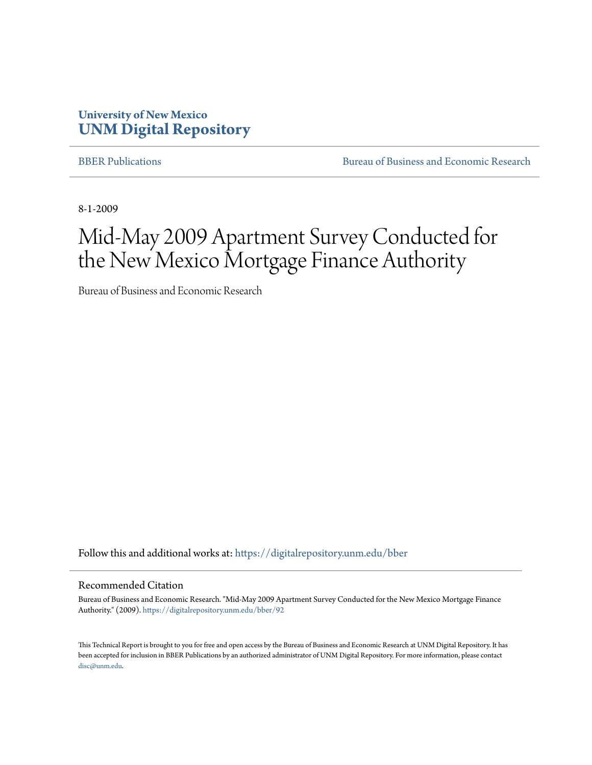# **University of New Mexico [UNM Digital Repository](https://digitalrepository.unm.edu?utm_source=digitalrepository.unm.edu%2Fbber%2F92&utm_medium=PDF&utm_campaign=PDFCoverPages)**

[BBER Publications](https://digitalrepository.unm.edu/bber?utm_source=digitalrepository.unm.edu%2Fbber%2F92&utm_medium=PDF&utm_campaign=PDFCoverPages) **BUREAU SERVICES** [Bureau of Business and Economic Research](https://digitalrepository.unm.edu/business_economic_research?utm_source=digitalrepository.unm.edu%2Fbber%2F92&utm_medium=PDF&utm_campaign=PDFCoverPages)

8-1-2009

# Mid-May 2009 Apartment Survey Conducted for the New Mexico Mortgage Finance Authority

Bureau of Business and Economic Research

Follow this and additional works at: [https://digitalrepository.unm.edu/bber](https://digitalrepository.unm.edu/bber?utm_source=digitalrepository.unm.edu%2Fbber%2F92&utm_medium=PDF&utm_campaign=PDFCoverPages)

#### Recommended Citation

Bureau of Business and Economic Research. "Mid-May 2009 Apartment Survey Conducted for the New Mexico Mortgage Finance Authority." (2009). [https://digitalrepository.unm.edu/bber/92](https://digitalrepository.unm.edu/bber/92?utm_source=digitalrepository.unm.edu%2Fbber%2F92&utm_medium=PDF&utm_campaign=PDFCoverPages)

This Technical Report is brought to you for free and open access by the Bureau of Business and Economic Research at UNM Digital Repository. It has been accepted for inclusion in BBER Publications by an authorized administrator of UNM Digital Repository. For more information, please contact [disc@unm.edu](mailto:disc@unm.edu).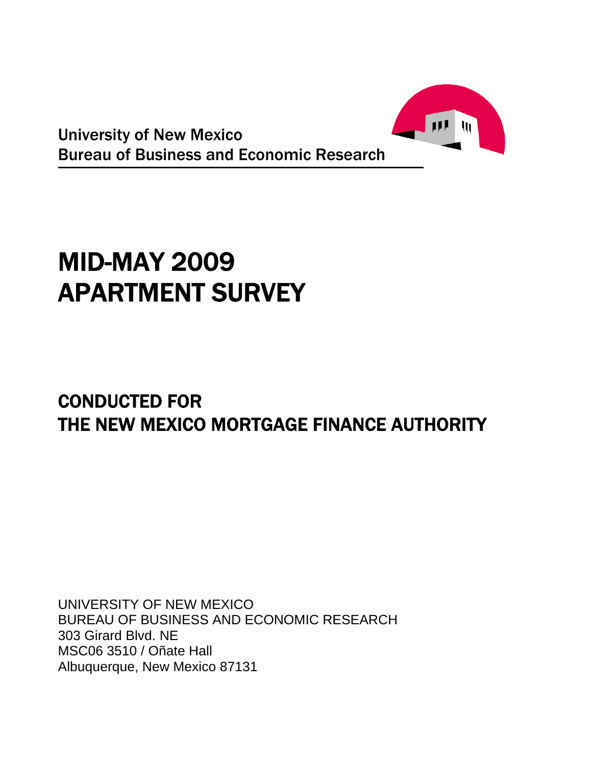

University of New Mexico Bureau of Business and Economic Research

# MID-MAY 2009 APARTMENT SURVEY

# CONDUCTED FOR THE NEW MEXICO MORTGAGE FINANCE AUTHORITY

UNIVERSITY OF NEW MEXICO BUREAU OF BUSINESS AND ECONOMIC RESEARCH 303 Girard Blvd. NE MSC06 3510 / Oñate Hall Albuquerque, New Mexico 87131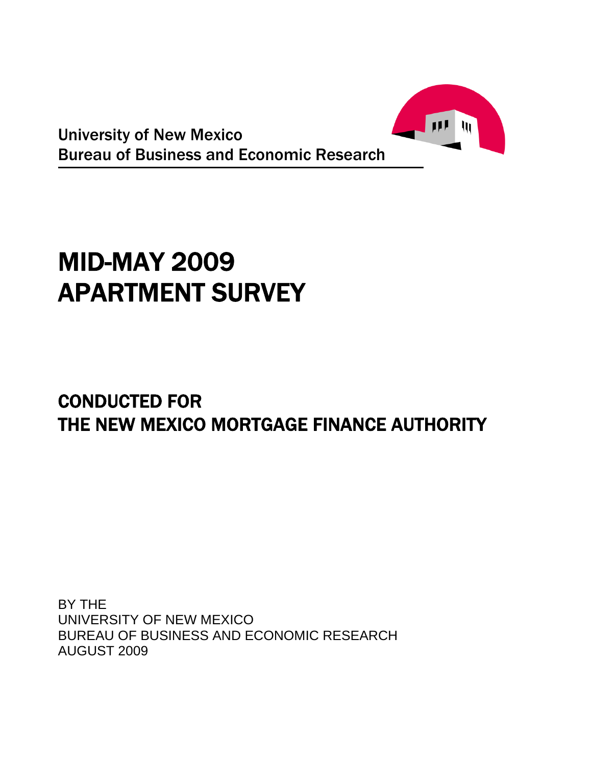

University of New Mexico Bureau of Business and Economic Research

# MID-MAY 2009 APARTMENT SURVEY

# CONDUCTED FOR THE NEW MEXICO MORTGAGE FINANCE AUTHORITY

BY THE UNIVERSITY OF NEW MEXICO BUREAU OF BUSINESS AND ECONOMIC RESEARCH AUGUST 2009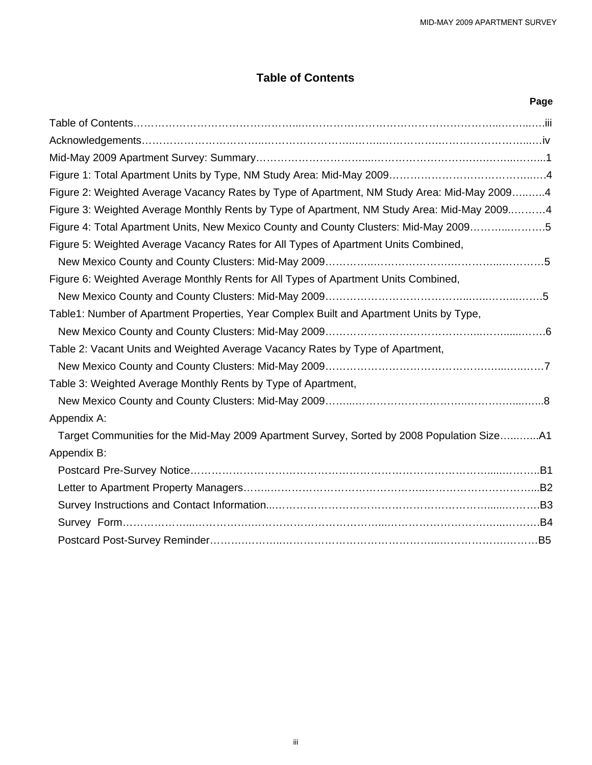# **Table of Contents**

| Page                                                                                        |
|---------------------------------------------------------------------------------------------|
|                                                                                             |
|                                                                                             |
|                                                                                             |
|                                                                                             |
| Figure 2: Weighted Average Vacancy Rates by Type of Apartment, NM Study Area: Mid-May 20094 |
| Figure 3: Weighted Average Monthly Rents by Type of Apartment, NM Study Area: Mid-May 20094 |
| Figure 4: Total Apartment Units, New Mexico County and County Clusters: Mid-May 20095       |
| Figure 5: Weighted Average Vacancy Rates for All Types of Apartment Units Combined,         |
|                                                                                             |
| Figure 6: Weighted Average Monthly Rents for All Types of Apartment Units Combined,         |
|                                                                                             |
| Table1: Number of Apartment Properties, Year Complex Built and Apartment Units by Type,     |
|                                                                                             |
| Table 2: Vacant Units and Weighted Average Vacancy Rates by Type of Apartment,              |
|                                                                                             |
| Table 3: Weighted Average Monthly Rents by Type of Apartment,                               |
|                                                                                             |
| Appendix A:                                                                                 |
| Target Communities for the Mid-May 2009 Apartment Survey, Sorted by 2008 Population SizeA1  |
| Appendix B:                                                                                 |
|                                                                                             |
|                                                                                             |
|                                                                                             |
|                                                                                             |
|                                                                                             |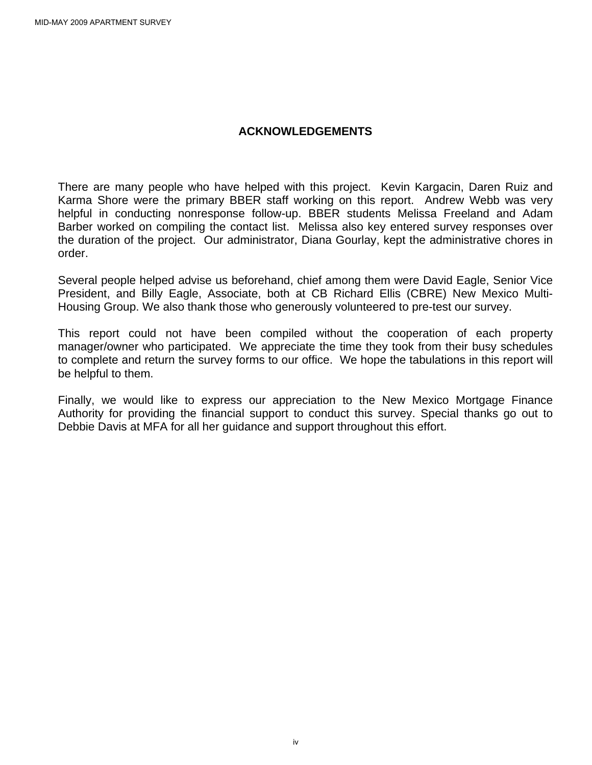### **ACKNOWLEDGEMENTS**

There are many people who have helped with this project. Kevin Kargacin, Daren Ruiz and Karma Shore were the primary BBER staff working on this report. Andrew Webb was very helpful in conducting nonresponse follow-up. BBER students Melissa Freeland and Adam Barber worked on compiling the contact list. Melissa also key entered survey responses over the duration of the project. Our administrator, Diana Gourlay, kept the administrative chores in order.

Several people helped advise us beforehand, chief among them were David Eagle, Senior Vice President, and Billy Eagle, Associate, both at CB Richard Ellis (CBRE) New Mexico Multi-Housing Group. We also thank those who generously volunteered to pre-test our survey.

This report could not have been compiled without the cooperation of each property manager/owner who participated. We appreciate the time they took from their busy schedules to complete and return the survey forms to our office. We hope the tabulations in this report will be helpful to them.

Finally, we would like to express our appreciation to the New Mexico Mortgage Finance Authority for providing the financial support to conduct this survey. Special thanks go out to Debbie Davis at MFA for all her guidance and support throughout this effort.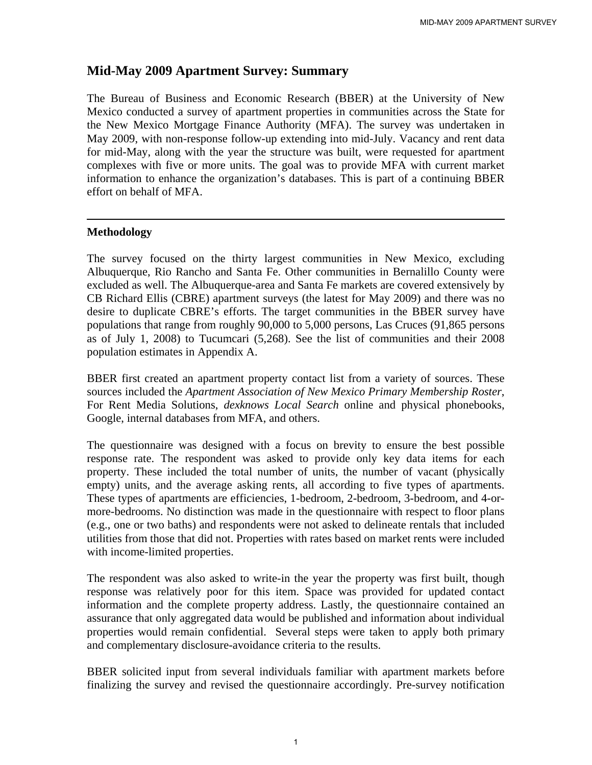# **Mid-May 2009 Apartment Survey: Summary**

The Bureau of Business and Economic Research (BBER) at the University of New Mexico conducted a survey of apartment properties in communities across the State for the New Mexico Mortgage Finance Authority (MFA). The survey was undertaken in May 2009, with non-response follow-up extending into mid-July. Vacancy and rent data for mid-May, along with the year the structure was built, were requested for apartment complexes with five or more units. The goal was to provide MFA with current market information to enhance the organization's databases. This is part of a continuing BBER effort on behalf of MFA.

### **Methodology**

The survey focused on the thirty largest communities in New Mexico, excluding Albuquerque, Rio Rancho and Santa Fe. Other communities in Bernalillo County were excluded as well. The Albuquerque-area and Santa Fe markets are covered extensively by CB Richard Ellis (CBRE) apartment surveys (the latest for May 2009) and there was no desire to duplicate CBRE's efforts. The target communities in the BBER survey have populations that range from roughly 90,000 to 5,000 persons, Las Cruces (91,865 persons as of July 1, 2008) to Tucumcari (5,268). See the list of communities and their 2008 population estimates in Appendix A.

BBER first created an apartment property contact list from a variety of sources. These sources included the *Apartment Association of New Mexico Primary Membership Roster*, For Rent Media Solutions, *dexknows Local Search* online and physical phonebooks, Google, internal databases from MFA, and others.

The questionnaire was designed with a focus on brevity to ensure the best possible response rate. The respondent was asked to provide only key data items for each property. These included the total number of units, the number of vacant (physically empty) units, and the average asking rents, all according to five types of apartments. These types of apartments are efficiencies, 1-bedroom, 2-bedroom, 3-bedroom, and 4-ormore-bedrooms. No distinction was made in the questionnaire with respect to floor plans (e.g., one or two baths) and respondents were not asked to delineate rentals that included utilities from those that did not. Properties with rates based on market rents were included with income-limited properties.

The respondent was also asked to write-in the year the property was first built, though response was relatively poor for this item. Space was provided for updated contact information and the complete property address. Lastly, the questionnaire contained an assurance that only aggregated data would be published and information about individual properties would remain confidential. Several steps were taken to apply both primary and complementary disclosure-avoidance criteria to the results.

BBER solicited input from several individuals familiar with apartment markets before finalizing the survey and revised the questionnaire accordingly. Pre-survey notification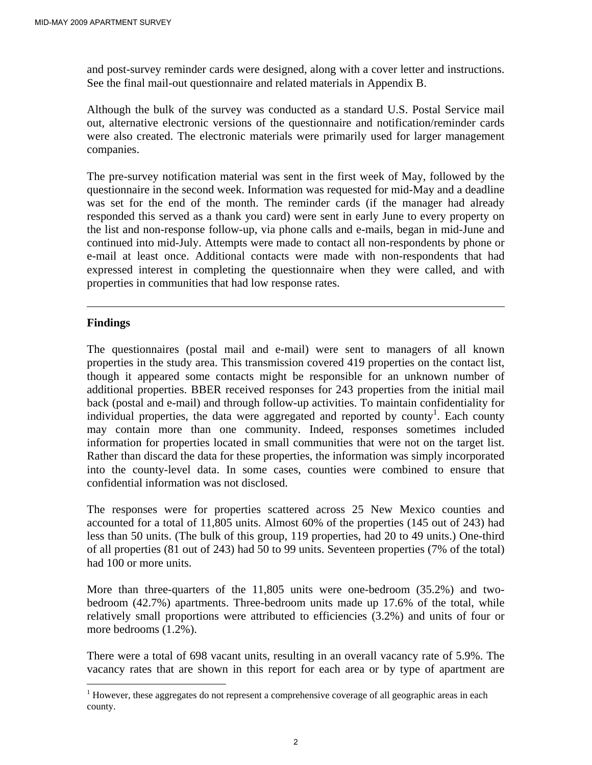and post-survey reminder cards were designed, along with a cover letter and instructions. See the final mail-out questionnaire and related materials in Appendix B.

Although the bulk of the survey was conducted as a standard U.S. Postal Service mail out, alternative electronic versions of the questionnaire and notification/reminder cards were also created. The electronic materials were primarily used for larger management companies.

The pre-survey notification material was sent in the first week of May, followed by the questionnaire in the second week. Information was requested for mid-May and a deadline was set for the end of the month. The reminder cards (if the manager had already responded this served as a thank you card) were sent in early June to every property on the list and non-response follow-up, via phone calls and e-mails, began in mid-June and continued into mid-July. Attempts were made to contact all non-respondents by phone or e-mail at least once. Additional contacts were made with non-respondents that had expressed interest in completing the questionnaire when they were called, and with properties in communities that had low response rates.

### **Findings**

 $\overline{a}$ 

The questionnaires (postal mail and e-mail) were sent to managers of all known properties in the study area. This transmission covered 419 properties on the contact list, though it appeared some contacts might be responsible for an unknown number of additional properties. BBER received responses for 243 properties from the initial mail back (postal and e-mail) and through follow-up activities. To maintain confidentiality for individual properties, the data were aggregated and reported by county<sup>1</sup>. Each county may contain more than one community. Indeed, responses sometimes included information for properties located in small communities that were not on the target list. Rather than discard the data for these properties, the information was simply incorporated into the county-level data. In some cases, counties were combined to ensure that confidential information was not disclosed.

The responses were for properties scattered across 25 New Mexico counties and accounted for a total of 11,805 units. Almost 60% of the properties (145 out of 243) had less than 50 units. (The bulk of this group, 119 properties, had 20 to 49 units.) One-third of all properties (81 out of 243) had 50 to 99 units. Seventeen properties (7% of the total) had 100 or more units.

More than three-quarters of the 11,805 units were one-bedroom (35.2%) and twobedroom (42.7%) apartments. Three-bedroom units made up 17.6% of the total, while relatively small proportions were attributed to efficiencies (3.2%) and units of four or more bedrooms (1.2%).

There were a total of 698 vacant units, resulting in an overall vacancy rate of 5.9%. The vacancy rates that are shown in this report for each area or by type of apartment are

<sup>&</sup>lt;sup>1</sup> However, these aggregates do not represent a comprehensive coverage of all geographic areas in each county.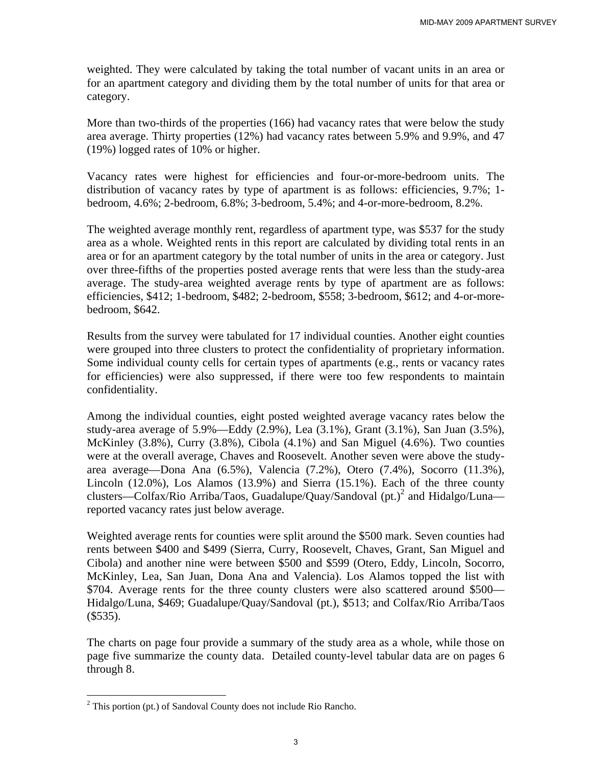weighted. They were calculated by taking the total number of vacant units in an area or for an apartment category and dividing them by the total number of units for that area or category.

More than two-thirds of the properties (166) had vacancy rates that were below the study area average. Thirty properties (12%) had vacancy rates between 5.9% and 9.9%, and 47 (19%) logged rates of 10% or higher.

Vacancy rates were highest for efficiencies and four-or-more-bedroom units. The distribution of vacancy rates by type of apartment is as follows: efficiencies, 9.7%; 1 bedroom, 4.6%; 2-bedroom, 6.8%; 3-bedroom, 5.4%; and 4-or-more-bedroom, 8.2%.

The weighted average monthly rent, regardless of apartment type, was \$537 for the study area as a whole. Weighted rents in this report are calculated by dividing total rents in an area or for an apartment category by the total number of units in the area or category. Just over three-fifths of the properties posted average rents that were less than the study-area average. The study-area weighted average rents by type of apartment are as follows: efficiencies, \$412; 1-bedroom, \$482; 2-bedroom, \$558; 3-bedroom, \$612; and 4-or-morebedroom, \$642.

Results from the survey were tabulated for 17 individual counties. Another eight counties were grouped into three clusters to protect the confidentiality of proprietary information. Some individual county cells for certain types of apartments (e.g., rents or vacancy rates for efficiencies) were also suppressed, if there were too few respondents to maintain confidentiality.

Among the individual counties, eight posted weighted average vacancy rates below the study-area average of 5.9%—Eddy (2.9%), Lea (3.1%), Grant (3.1%), San Juan (3.5%), McKinley (3.8%), Curry (3.8%), Cibola (4.1%) and San Miguel (4.6%). Two counties were at the overall average, Chaves and Roosevelt. Another seven were above the studyarea average—Dona Ana (6.5%), Valencia (7.2%), Otero (7.4%), Socorro (11.3%), Lincoln (12.0%), Los Alamos (13.9%) and Sierra (15.1%). Each of the three county clusters—Colfax/Rio Arriba/Taos, Guadalupe/Quay/Sandoval  $(pt.)<sup>2</sup>$  and Hidalgo/Luna reported vacancy rates just below average.

Weighted average rents for counties were split around the \$500 mark. Seven counties had rents between \$400 and \$499 (Sierra, Curry, Roosevelt, Chaves, Grant, San Miguel and Cibola) and another nine were between \$500 and \$599 (Otero, Eddy, Lincoln, Socorro, McKinley, Lea, San Juan, Dona Ana and Valencia). Los Alamos topped the list with \$704. Average rents for the three county clusters were also scattered around \$500— Hidalgo/Luna, \$469; Guadalupe/Quay/Sandoval (pt.), \$513; and Colfax/Rio Arriba/Taos  $($535).$ 

The charts on page four provide a summary of the study area as a whole, while those on page five summarize the county data. Detailed county-level tabular data are on pages 6 through 8.

<sup>&</sup>lt;sup>2</sup> This portion (pt.) of Sandoval County does not include Rio Rancho.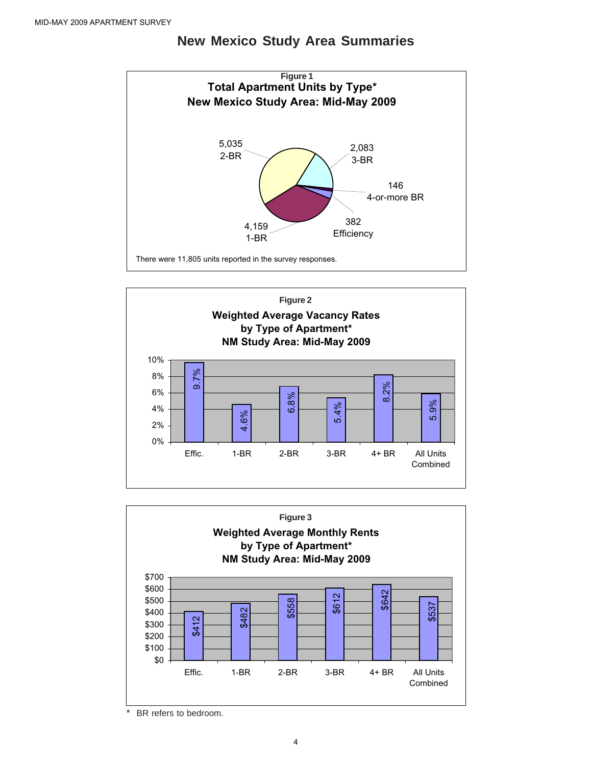

# **New Mexico Study Area Summaries**





BR refers to bedroom.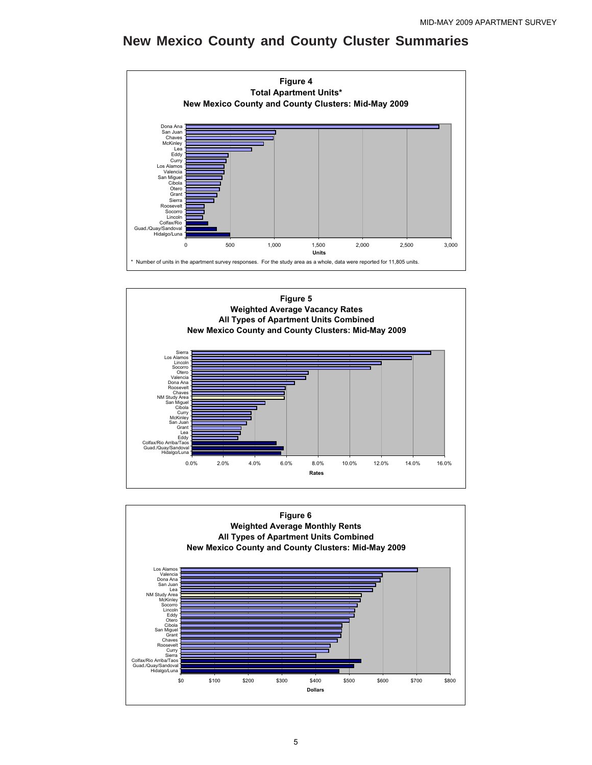## **New Mexico County and County Cluster Summaries**





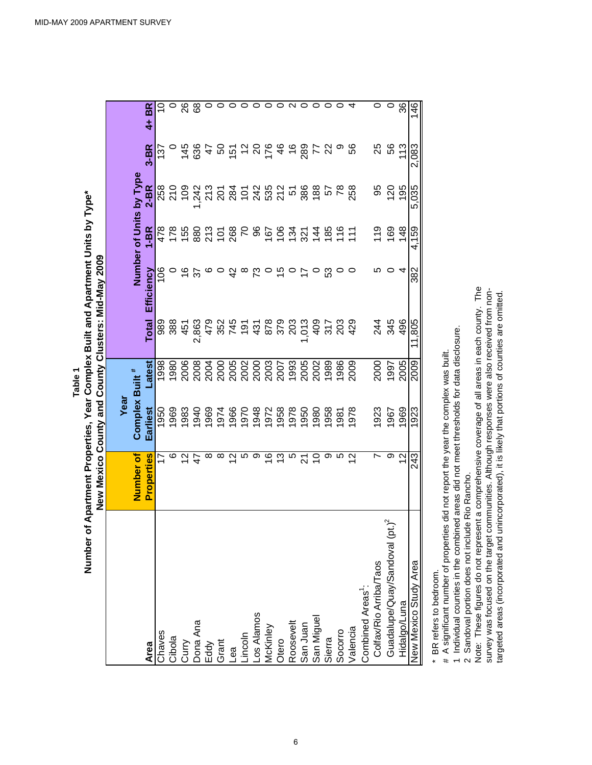|                                                                                                            | <b>JOAN ABILITIES IN EURINA ALLINA DI EURINI ALLINA DALKUEL ADELINA DI EURINE EURINE EURINE EURINE EURINE EURINE</b> |                            |                                         |              |               |                                                                                                                |                         |                 |         |
|------------------------------------------------------------------------------------------------------------|----------------------------------------------------------------------------------------------------------------------|----------------------------|-----------------------------------------|--------------|---------------|----------------------------------------------------------------------------------------------------------------|-------------------------|-----------------|---------|
|                                                                                                            |                                                                                                                      | Year                       |                                         |              |               |                                                                                                                |                         |                 |         |
|                                                                                                            | Number of                                                                                                            | Complex Built <sup>#</sup> |                                         |              |               |                                                                                                                | Number of Units by Type |                 |         |
| Area                                                                                                       | Properties                                                                                                           | Earliest                   | Latest                                  | <b>Total</b> | Efficiency    | $1-BR$                                                                                                         | $2-BR$                  | $3 - BR$        | 4+ BR   |
| Chaves                                                                                                     | 17                                                                                                                   | 1950                       | 1998                                    |              | $\frac{8}{1}$ | 478                                                                                                            |                         | 137             |         |
| Cibola                                                                                                     | ဖ                                                                                                                    | 1969                       | 1980                                    |              |               | 178                                                                                                            | 258<br>210<br>10        |                 |         |
|                                                                                                            | $\frac{2}{3}$                                                                                                        | 1983                       | 2006                                    |              |               |                                                                                                                |                         | 145             | 26      |
| Curry<br>Dona Ana<br>Eddy<br>Grant<br>Lea                                                                  |                                                                                                                      | 1940                       |                                         |              |               |                                                                                                                |                         |                 | 89      |
|                                                                                                            | ∞                                                                                                                    |                            |                                         |              |               |                                                                                                                |                         |                 |         |
|                                                                                                            | ∞                                                                                                                    | 1969<br>1974               | 8<br>8888888888888888<br>88888888888888 |              |               | 88 2 5 8 5 8 5 6 5 7 7 7 8 5 5 7 5 8 7 6 7 8 9 7 7 7 7 8 7 7 7 8 9 7 7 7 8 9 7 7 7 8 9 7 7 7 8 9 7 7 7 8 9 7 7 |                         | 895662864687898 |         |
|                                                                                                            | $\tilde{\mathcal{L}}$                                                                                                |                            |                                         |              |               |                                                                                                                |                         |                 |         |
|                                                                                                            | LO.                                                                                                                  |                            |                                         |              | $\infty$      |                                                                                                                |                         |                 | $\circ$ |
|                                                                                                            | တ                                                                                                                    | 1966<br>1970<br>1948       |                                         |              |               |                                                                                                                |                         |                 | $\circ$ |
|                                                                                                            | $\frac{6}{5}$                                                                                                        |                            |                                         |              |               |                                                                                                                |                         |                 | $\circ$ |
|                                                                                                            | 13                                                                                                                   | 1972<br>1958               |                                         |              | 40            |                                                                                                                |                         |                 | 0       |
|                                                                                                            | LO                                                                                                                   |                            |                                         |              |               |                                                                                                                |                         |                 | N       |
|                                                                                                            | 21                                                                                                                   |                            |                                         |              |               |                                                                                                                |                         |                 |         |
|                                                                                                            | S                                                                                                                    |                            |                                         |              |               |                                                                                                                |                         |                 | $\circ$ |
| Lincoln<br>Los Alamos<br>McKinley<br>Otero<br>Sosevelt<br>San Miguel<br>San Miguel<br>San Miguel<br>Sierra | တ                                                                                                                    | 896<br>086<br>0956         |                                         |              | ္ဟ            |                                                                                                                |                         |                 | 0       |
|                                                                                                            | LO.                                                                                                                  | 1981                       |                                         |              |               |                                                                                                                |                         |                 |         |
| Valencia                                                                                                   | $\frac{2}{3}$                                                                                                        | 1978                       | 2009                                    |              |               |                                                                                                                |                         |                 |         |
| Combined Areas <sup>1</sup> :                                                                              |                                                                                                                      |                            |                                         |              |               |                                                                                                                |                         |                 |         |
| Colfax/Rio Arriba/Taos                                                                                     | N                                                                                                                    | 1923                       | 2000                                    |              |               | 119                                                                                                            | 95                      |                 |         |
| $\mu$ pt.) <sup>2</sup><br>Guadalupe/Quay/Sandoval                                                         | တ                                                                                                                    | 1967                       | 1997                                    | 244<br>345   |               | 169                                                                                                            | 120                     | ង<br>ស          | $\circ$ |
| Hidalgo/Luna                                                                                               | 57                                                                                                                   | 1969                       | 2005                                    | 496          |               | 148                                                                                                            | 195                     | 113             | 36      |
| New Mexico Study Area                                                                                      | 243                                                                                                                  | 1923                       | 2009                                    | 11,805       | 382           | 4,159                                                                                                          | 5,035                   | 2,083           | 146     |

Number of Apartment Properties, Year Complex Built and Apartment Units by Type\* **Number of Apartment Properties, Year Complex Built and Apartment Units by Type\*** New Mexico County and County Clusters: Mid-May 2009 **New Mexico County and County Clusters: Mid-May 2009 Table 1**

BR refers to bedroom. \* BR refers to bedroom.  $\star$ 

# A significant number of properties did not report the year the complex was built. # A significant number of properties did not report the year the complex was built.

1 Individual counties in the combined areas did not meet thresholds for data disclosure. 1 Individual counties in the combined areas did not meet thresholds for data disclosure.

2 Sandoval portion does not include Rio Rancho. 2 Sandoval portion does not include Rio Rancho.

Note: These figures do not represent a comprehensive coverage of all areas in each county. The survey was focused on the target communities. Although responses were also received from non-Note: These figures do not represent a comprehensive coverage of all areas in each county. The survey was focused on the target communities. Although responses were also received from nontargeted areas (incorporated and unincorporated), it is likely that portions of counties are omitted. targeted areas (incorporated and unincorporated), it is likely that portions of counties are omitted.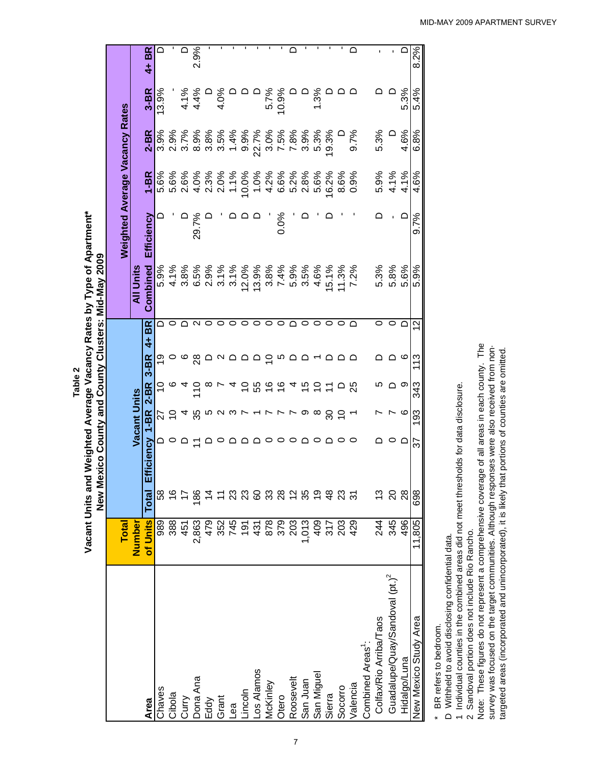**Table 2**

Vacant Units and Weighted Average Vacancy Rates by Type of Apartment\* **Vacant Units and Weighted Average Vacancy Rates by Type of Apartment\*** New Mexico County and County Clusters: Mid-May 2009

|                                            |                            |               |            |                     |               |                |                            | New Mexico County and County Clusters: Mid-May 2009 |                                       |          |       |       |                |
|--------------------------------------------|----------------------------|---------------|------------|---------------------|---------------|----------------|----------------------------|-----------------------------------------------------|---------------------------------------|----------|-------|-------|----------------|
|                                            | Total                      |               |            |                     |               |                |                            |                                                     | <b>Weighted Average Vacancy Rates</b> |          |       |       |                |
|                                            | Number                     |               |            | <b>Vacant Units</b> |               |                |                            | All Units                                           |                                       |          |       |       |                |
| Area                                       | of Units                   | Total         | Efficiency | $1-BR$              | $2-BR$        | $3 - BR$       | <b>BR</b><br>$\frac{1}{4}$ | Combined                                            | Efficiency                            | $1 - BR$ | 2-BR  | 3-BR  | 4+ BR          |
| Chaves                                     | 989                        | အိ            |            | 22                  | ₽             | ల్ల            |                            | 5.9%                                                |                                       | 5.6%     | 3.9%  | 13.9% | $\Box$         |
| Cibola                                     | 388                        |               |            | $\tilde{c}$         |               |                |                            | 4.1%                                                |                                       | 5.6%     | 2.9%  |       |                |
| Curry                                      | 451                        |               |            | 4                   |               | ၀ ဖ ၛွ         |                            | 3.8%                                                |                                       | 2.6%     | 3.7%  | 4.1%  | $\Omega$       |
| Dona Ana                                   | 2,863                      | <u>86</u>     |            | 35                  | $\tilde{c}$   |                | $\sim$                     | 6.5%                                                | 29.7%                                 | 4.0%     | 8.9%  | 4.4%  | 2.9%           |
| Eddy                                       | 479                        |               |            |                     | ∞             |                | $\circ$                    | 2.9%                                                |                                       | 2.3%     | 3.8%  |       |                |
| Grant                                      |                            |               |            | ro u                |               |                | 0                          | 3.1%                                                |                                       | 2.0%     | 3.5%  | 4.0%  |                |
| Бeд                                        | 875<br>74578<br>878<br>879 |               |            | $\sim$ $\sim$       | 4             |                | 0                          | 3.1%                                                |                                       | 1.1%     | 1.4%  |       |                |
| Lincoln                                    |                            | ಔ             |            |                     | $\tilde{c}$   |                | $\circ$                    | 12.0%                                               |                                       | 10.0%    | 9.9%  |       |                |
| Los Alamos                                 |                            | င္စ           |            | $\sim$ $\sim$       | 55            |                | 0                          | 13.9%                                               |                                       | 1.0%     | 22.7% |       |                |
| McKinley                                   |                            | ္က            |            |                     | $\frac{6}{5}$ | $\overline{C}$ | $\circ$                    | 3.8%                                                |                                       | 4.2%     | 3.0%  | 5.7%  |                |
| Otero                                      |                            | 88            |            | $\overline{r}$      | $\frac{6}{5}$ | <u>က</u>       | 0                          | 7.4%                                                | 0.0%                                  | 6.6%     | 7.5%  | 10.9% | ı              |
| Roosevelt                                  | 203                        |               |            |                     | 4             | ≏              | $\bigcap$                  | 5.9%                                                |                                       | 5.2%     | 7.8%  |       | $\Box$         |
| San Juan                                   | 1,013                      |               |            | တ ထ                 | $\frac{5}{1}$ | ≏              | 0                          | 3.5%                                                |                                       | 2.8%     | 3.9%  |       | ı              |
| San Miguel                                 |                            | <u>ღ</u>      |            |                     | $\tilde{c}$   |                | 0                          | 4.6%                                                |                                       | 5.6%     | 5.3%  | 3%    | f,             |
| Sierra                                     | 409<br>317<br>203<br>429   | $\frac{8}{4}$ |            | ೫                   |               | ם ם            |                            | 15.1%                                               |                                       | 16.2%    | 19.3% |       | $\blacksquare$ |
| Socorro                                    |                            | ಔ             |            | $\tilde{=}$         |               |                |                            | 11.3%                                               |                                       | 8.6%     |       |       | f,             |
| Valencia                                   |                            | 31            | 0          |                     | 25            | ≏              | ◠                          | 7.2%                                                |                                       | 0.9%     | 9.7%  |       | $\bigcap$      |
| Combined Areas <sup>1</sup> :              |                            |               |            |                     |               |                |                            |                                                     |                                       |          |       |       |                |
| Colfax/Rio Arriba/Taos                     | 244                        | <u>ო</u>      |            |                     | ഥ             |                | 0                          | 5.3%                                                |                                       | 5.9%     | 5.3%  |       |                |
| Guadalupe/Quay/Sandoval (pt.) <sup>2</sup> | 345                        | $\Omega$      |            |                     | ല ∞           | ≏              | 0                          | 5.8%                                                |                                       | 4.1%     |       |       |                |
| Hidalgo/Luna                               | 496                        | $\frac{8}{2}$ |            | o                   |               | ဖ              |                            | 5.6%                                                | ≏                                     | 4.1%     | 4.6%  | 5.3%  | $\Omega$       |
| New Mexico Study Area                      | 11,805                     | 698           | 75         | 193                 | 343           | 113            | $\tilde{c}$                | 5.9%                                                | 9.7%                                  | 4.6%     | 6.8%  | 5.4%  | 8.2%           |

\* BR refers to bedroom. \* BR refers to bedroom.

D Withheld to avoid disclosing confidential data. D Withheld to avoid disclosing confidential data.

1 Individual counties in the combined areas did not meet thresholds for data disclosure. 1 Individual counties in the combined areas did not meet thresholds for data disclosure.

2 Sandoval portion does not include Rio Rancho. 2 Sandoval portion does not include Rio Rancho.

Note: These figures do not represent a comprehensive coverage of all areas in each county. The survey was focused on the target communities. Although responses were also received from non-Note: These figures do not represent a comprehensive coverage of all areas in each county. The survey was focused on the target communities. Although responses were also received from nontargeted areas (incorporated and unincorporated), it is likely that portions of counties are omitted. targeted areas (incorporated and unincorporated), it is likely that portions of counties are omitted.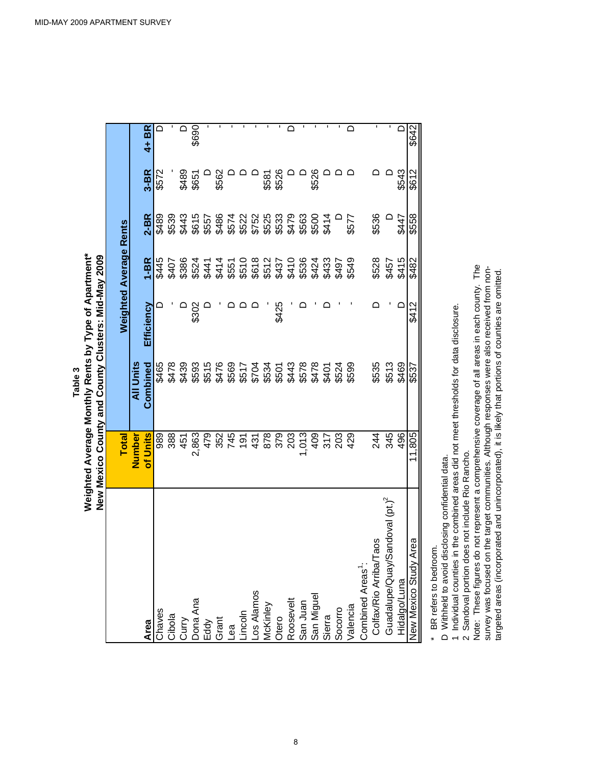|                                                                                                                                                     |                            | New Mexico County and County Clusters: Mid-May 2009 |            |                               |              |          |       |
|-----------------------------------------------------------------------------------------------------------------------------------------------------|----------------------------|-----------------------------------------------------|------------|-------------------------------|--------------|----------|-------|
|                                                                                                                                                     |                            |                                                     |            |                               |              |          |       |
|                                                                                                                                                     | <b>Total</b>               |                                                     |            | <b>Weighted Average Rents</b> |              |          |       |
|                                                                                                                                                     | Number                     | <b>All Units</b>                                    |            |                               |              |          |       |
|                                                                                                                                                     | of Units                   | Combined                                            | Efficiency | I-BR                          | $2 - BR$     | $3 - BR$ | 4+ BR |
| Area<br>Chaves                                                                                                                                      | 989                        | \$465                                               |            | \$445                         | <b>687\$</b> | \$572    |       |
|                                                                                                                                                     | 388                        |                                                     |            |                               |              |          |       |
|                                                                                                                                                     | 451                        |                                                     |            |                               |              | \$489    |       |
| Cibola<br>Curry<br>Dona Ana<br>Eddy<br>Grant<br>Lincoln<br>Lincoln<br>Miguel<br>McKinley<br>Otero<br>Roosevelt<br>Roosevelt<br>San Juan<br>San Juan | 2,863                      |                                                     | \$302      |                               |              | \$651    | \$690 |
|                                                                                                                                                     | 479                        |                                                     |            |                               |              |          |       |
|                                                                                                                                                     |                            |                                                     |            |                               |              | \$562    |       |
|                                                                                                                                                     | 82<br>845<br>87<br>98<br>8 |                                                     |            |                               |              |          |       |
|                                                                                                                                                     |                            |                                                     |            |                               |              |          |       |
|                                                                                                                                                     |                            |                                                     |            |                               |              |          |       |
|                                                                                                                                                     |                            |                                                     |            |                               |              | \$581    |       |
|                                                                                                                                                     | 379                        |                                                     | \$425      |                               |              | \$526    |       |
|                                                                                                                                                     | 203                        |                                                     |            |                               |              |          |       |
|                                                                                                                                                     |                            |                                                     |            |                               |              |          |       |
|                                                                                                                                                     | 0.4<br>202<br>202<br>202   |                                                     |            |                               |              | \$526    |       |
|                                                                                                                                                     |                            |                                                     |            |                               |              |          |       |
|                                                                                                                                                     |                            |                                                     |            |                               |              |          |       |
| Socorro<br>Valencia                                                                                                                                 | 429                        | \$599                                               |            | \$549                         | \$577        |          |       |
|                                                                                                                                                     |                            |                                                     |            |                               |              |          |       |
| Taos<br>Combined Areas <sup>1</sup> :<br>Colfax/Rio Arriba/T                                                                                        | 244                        | \$535                                               |            | \$528                         | \$536        |          |       |
| Guadalupe/Quay/Sandoval (pt.) <sup>2</sup>                                                                                                          | 345                        | \$513                                               |            | \$457<br>\$415                |              |          |       |
| Hidalgo/Luna                                                                                                                                        | 496                        | \$469                                               |            |                               | \$447        | \$543    |       |

Weighted Average Monthly Rents by Type of Apartment\* **Weighted Average Monthly Rents by Type of Apartment\* Table 3**

> \* BR refers to bedroom. \* BR refers to bedroom.

New Mexico Study Area

Ct99\$ 21,99\$ 89.9\$ 23 02,000\$ 21,000\$ 12,000;1,000 \$531 \$6314 \$612 \$612 \$612 \$612 \$642

 $.805$ 

\$537

\$642

\$612

\$558

\$482

\$412

D Withheld to avoid disclosing confidential data. D Withheld to avoid disclosing confidential data.

1 Individual counties in the combined areas did not meet thresholds for data disclosure. 1 Individual counties in the combined areas did not meet thresholds for data disclosure. 2 Sandoval portion does not include Rio Rancho.

Note: These figures do not represent a comprehensive coverage of all areas in each county. The Note: These figures do not represent a comprehensive coverage of all areas in each county. The 2 Sandoval portion does not include Rio Rancho.

survey was focused on the target communities. Although responses were also received from non-<br>targeted areas (incorporated and unincorporated), it is likely that portions of counties are omitted. survey was focused on the target communities. Although responses were also received from nontargeted areas (incorporated and unincorporated), it is likely that portions of counties are omitted.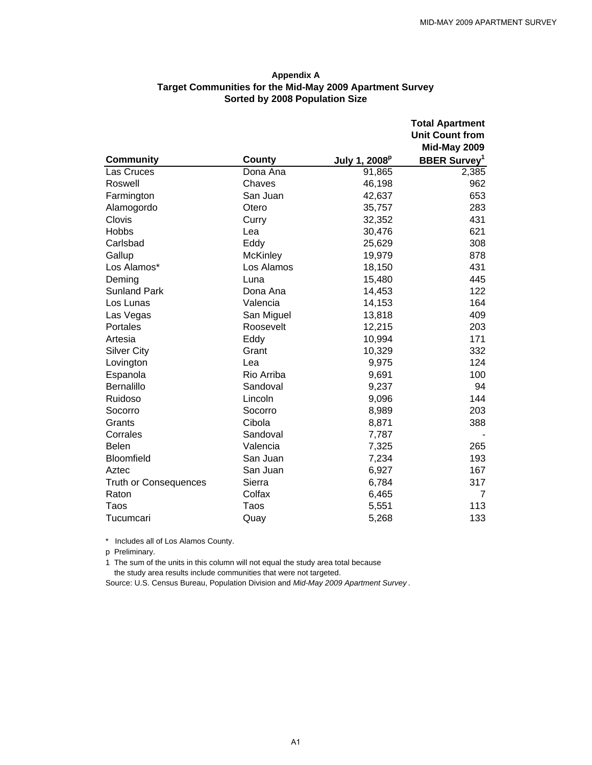#### **Appendix A Target Communities for the Mid-May 2009 Apartment Survey Sorted by 2008 Population Size**

|                              |                 |                           | <b>Total Apartment</b>          |
|------------------------------|-----------------|---------------------------|---------------------------------|
|                              |                 |                           | <b>Unit Count from</b>          |
|                              |                 |                           | Mid-May 2009                    |
| <b>Community</b>             | County          | July 1, 2008 <sup>p</sup> | <b>BBER Survey</b> <sup>1</sup> |
| Las Cruces                   | Dona Ana        | 91,865                    | 2,385                           |
| Roswell                      | Chaves          | 46,198                    | 962                             |
| Farmington                   | San Juan        | 42,637                    | 653                             |
| Alamogordo                   | Otero           | 35,757                    | 283                             |
| Clovis                       | Curry           | 32,352                    | 431                             |
| Hobbs                        | Lea             | 30,476                    | 621                             |
| Carlsbad                     | Eddy            | 25,629                    | 308                             |
| Gallup                       | <b>McKinley</b> | 19,979                    | 878                             |
| Los Alamos*                  | Los Alamos      | 18,150                    | 431                             |
| Deming                       | Luna            | 15,480                    | 445                             |
| <b>Sunland Park</b>          | Dona Ana        | 14,453                    | 122                             |
| Los Lunas                    | Valencia        | 14,153                    | 164                             |
| Las Vegas                    | San Miguel      | 13,818                    | 409                             |
| Portales                     | Roosevelt       | 12,215                    | 203                             |
| Artesia                      | Eddy            | 10,994                    | 171                             |
| <b>Silver City</b>           | Grant           | 10,329                    | 332                             |
| Lovington                    | Lea             | 9,975                     | 124                             |
| Espanola                     | Rio Arriba      | 9,691                     | 100                             |
| <b>Bernalillo</b>            | Sandoval        | 9,237                     | 94                              |
| Ruidoso                      | Lincoln         | 9,096                     | 144                             |
| Socorro                      | Socorro         | 8,989                     | 203                             |
| Grants                       | Cibola          | 8,871                     | 388                             |
| Corrales                     | Sandoval        | 7,787                     |                                 |
| <b>Belen</b>                 | Valencia        | 7,325                     | 265                             |
| Bloomfield                   | San Juan        | 7,234                     | 193                             |
| Aztec                        | San Juan        | 6,927                     | 167                             |
| <b>Truth or Consequences</b> | Sierra          | 6,784                     | 317                             |
| Raton                        | Colfax          | 6,465                     | 7                               |
| Taos                         | Taos            | 5,551                     | 113                             |
| Tucumcari                    | Quay            | 5,268                     | 133                             |

\* Includes all of Los Alamos County.

p Preliminary.

1 The sum of the units in this column will not equal the study area total because

the study area results include communities that were not targeted.

Source: U.S. Census Bureau, Population Division and *Mid-May 2009 Apartment Survey* .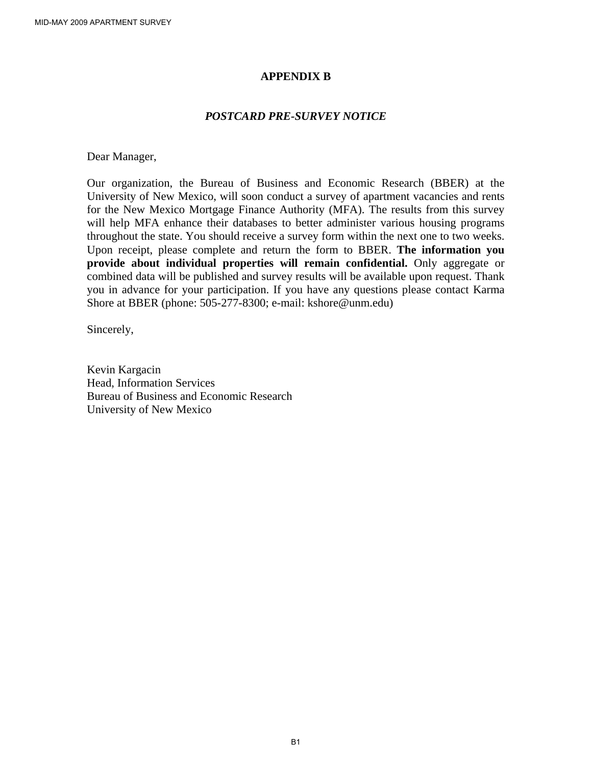#### **APPENDIX B**

#### *POSTCARD PRE-SURVEY NOTICE*

Dear Manager,

Our organization, the Bureau of Business and Economic Research (BBER) at the University of New Mexico, will soon conduct a survey of apartment vacancies and rents for the New Mexico Mortgage Finance Authority (MFA). The results from this survey will help MFA enhance their databases to better administer various housing programs throughout the state. You should receive a survey form within the next one to two weeks. Upon receipt, please complete and return the form to BBER. **The information you provide about individual properties will remain confidential.** Only aggregate or combined data will be published and survey results will be available upon request. Thank you in advance for your participation. If you have any questions please contact Karma Shore at BBER (phone: 505-277-8300; e-mail: kshore@unm.edu)

Sincerely,

Kevin Kargacin Head, Information Services Bureau of Business and Economic Research University of New Mexico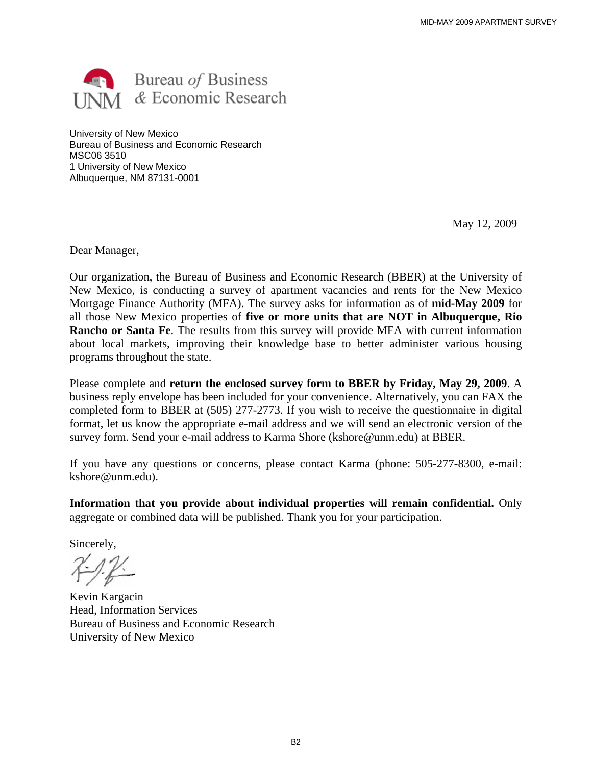

University of New Mexico Bureau of Business and Economic Research MSC06 3510 1 University of New Mexico Albuquerque, NM 87131-0001

May 12, 2009

Dear Manager,

Our organization, the Bureau of Business and Economic Research (BBER) at the University of New Mexico, is conducting a survey of apartment vacancies and rents for the New Mexico Mortgage Finance Authority (MFA). The survey asks for information as of **mid-May 2009** for all those New Mexico properties of **five or more units that are NOT in Albuquerque, Rio Rancho or Santa Fe**. The results from this survey will provide MFA with current information about local markets, improving their knowledge base to better administer various housing programs throughout the state.

Please complete and **return the enclosed survey form to BBER by Friday, May 29, 2009**. A business reply envelope has been included for your convenience. Alternatively, you can FAX the completed form to BBER at (505) 277-2773. If you wish to receive the questionnaire in digital format, let us know the appropriate e-mail address and we will send an electronic version of the survey form. Send your e-mail address to Karma Shore (kshore@unm.edu) at BBER.

If you have any questions or concerns, please contact Karma (phone: 505-277-8300, e-mail: kshore@unm.edu).

**Information that you provide about individual properties will remain confidential.** Only aggregate or combined data will be published. Thank you for your participation.

Sincerely,

 $7 - 12$ 

Kevin Kargacin Head, Information Services Bureau of Business and Economic Research University of New Mexico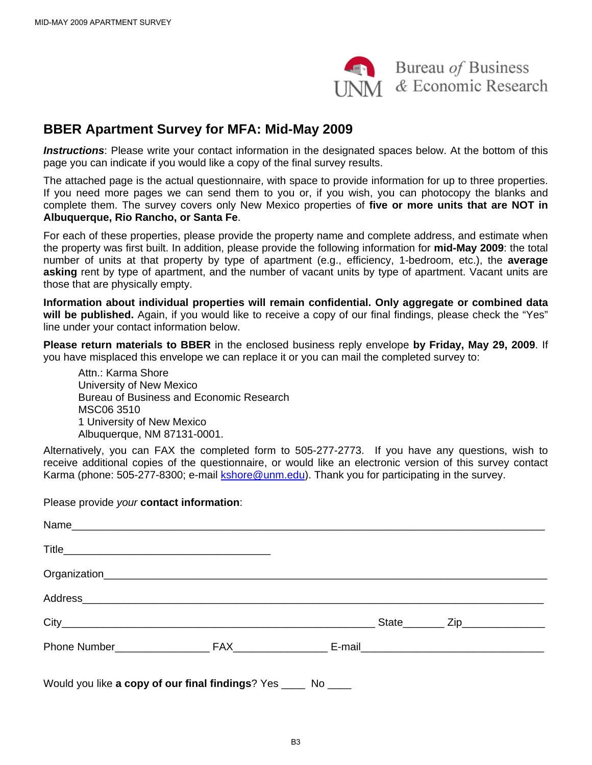

## **BBER Apartment Survey for MFA: Mid-May 2009**

*Instructions*: Please write your contact information in the designated spaces below. At the bottom of this page you can indicate if you would like a copy of the final survey results.

The attached page is the actual questionnaire, with space to provide information for up to three properties. If you need more pages we can send them to you or, if you wish, you can photocopy the blanks and complete them. The survey covers only New Mexico properties of **five or more units that are NOT in Albuquerque, Rio Rancho, or Santa Fe**.

For each of these properties, please provide the property name and complete address, and estimate when the property was first built. In addition, please provide the following information for **mid-May 2009**: the total number of units at that property by type of apartment (e.g., efficiency, 1-bedroom, etc.), the **average asking** rent by type of apartment, and the number of vacant units by type of apartment. Vacant units are those that are physically empty.

**Information about individual properties will remain confidential. Only aggregate or combined data will be published.** Again, if you would like to receive a copy of our final findings, please check the "Yes" line under your contact information below.

**Please return materials to BBER** in the enclosed business reply envelope **by Friday, May 29, 2009**. If you have misplaced this envelope we can replace it or you can mail the completed survey to:

Attn.: Karma Shore University of New Mexico Bureau of Business and Economic Research MSC06 3510 1 University of New Mexico Albuquerque, NM 87131-0001.

Alternatively, you can FAX the completed form to 505-277-2773. If you have any questions, wish to receive additional copies of the questionnaire, or would like an electronic version of this survey contact Karma (phone: 505-277-8300; e-mail kshore@unm.edu). Thank you for participating in the survey.

Please provide *your* **contact information**:

| Would you like a copy of our final findings? Yes _____ No ____ |  |  |
|----------------------------------------------------------------|--|--|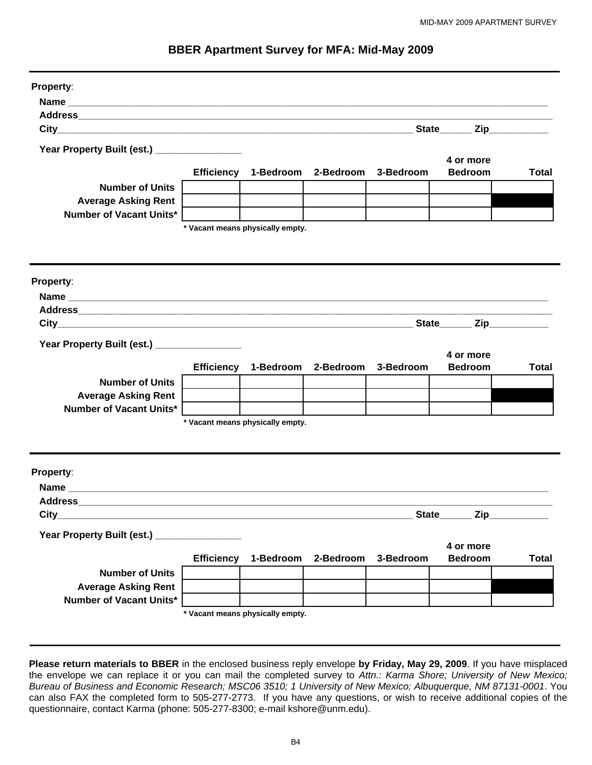| <b>BBER Apartment Survey for MFA: Mid-May 2009</b> |  |  |
|----------------------------------------------------|--|--|
|----------------------------------------------------|--|--|

| Property:                                                                                                      |                   |                                  |                               |                     |                |              |
|----------------------------------------------------------------------------------------------------------------|-------------------|----------------------------------|-------------------------------|---------------------|----------------|--------------|
|                                                                                                                |                   |                                  |                               |                     |                |              |
|                                                                                                                |                   |                                  |                               |                     |                |              |
|                                                                                                                |                   |                                  |                               |                     | State Zip      |              |
|                                                                                                                |                   |                                  |                               |                     |                |              |
| Year Property Built (est.) _________________                                                                   |                   |                                  |                               |                     | 4 or more      |              |
|                                                                                                                | <b>Efficiency</b> | 1-Bedroom                        | 2-Bedroom                     | 3-Bedroom           | <b>Bedroom</b> | <b>Total</b> |
| <b>Number of Units</b>                                                                                         |                   |                                  |                               |                     |                |              |
| <b>Average Asking Rent</b>                                                                                     |                   |                                  |                               |                     |                |              |
| Number of Vacant Units*                                                                                        |                   |                                  |                               |                     |                |              |
|                                                                                                                |                   | * Vacant means physically empty. |                               |                     |                |              |
|                                                                                                                |                   |                                  |                               |                     |                |              |
|                                                                                                                |                   |                                  |                               |                     |                |              |
|                                                                                                                |                   |                                  |                               |                     |                |              |
| Property:                                                                                                      |                   |                                  |                               |                     |                |              |
|                                                                                                                |                   |                                  |                               |                     |                |              |
| Address Address Address Address Address Address Address Address Address Address Address Address Address Addres |                   |                                  |                               |                     |                |              |
|                                                                                                                |                   |                                  |                               |                     | State Zip      |              |
| Year Property Built (est.) _______________                                                                     |                   |                                  |                               |                     |                |              |
|                                                                                                                |                   |                                  |                               |                     | 4 or more      |              |
|                                                                                                                | <b>Efficiency</b> | 1-Bedroom                        |                               | 2-Bedroom 3-Bedroom | <b>Bedroom</b> | <b>Total</b> |
| <b>Number of Units</b>                                                                                         |                   |                                  |                               |                     |                |              |
| <b>Average Asking Rent</b>                                                                                     |                   |                                  |                               |                     |                |              |
| <b>Number of Vacant Units*</b>                                                                                 |                   |                                  |                               |                     |                |              |
|                                                                                                                |                   | * Vacant means physically empty. |                               |                     |                |              |
|                                                                                                                |                   |                                  |                               |                     |                |              |
|                                                                                                                |                   |                                  |                               |                     |                |              |
| <b>Property:</b>                                                                                               |                   |                                  |                               |                     |                |              |
|                                                                                                                |                   |                                  |                               |                     |                |              |
| <b>Address</b>                                                                                                 |                   |                                  |                               |                     |                |              |
|                                                                                                                |                   |                                  |                               |                     | State Zip      |              |
| Year Property Built (est.) ________________                                                                    |                   |                                  |                               |                     |                |              |
|                                                                                                                |                   |                                  |                               |                     | 4 or more      |              |
|                                                                                                                | <b>Efficiency</b> |                                  | 1-Bedroom 2-Bedroom 3-Bedroom |                     | <b>Bedroom</b> | <b>Total</b> |
| <b>Number of Units</b>                                                                                         |                   |                                  |                               |                     |                |              |
| <b>Average Asking Rent</b>                                                                                     |                   |                                  |                               |                     |                |              |
| Number of Vacant Units*                                                                                        |                   |                                  |                               |                     |                |              |
|                                                                                                                |                   | * Vacant means physically empty. |                               |                     |                |              |
|                                                                                                                |                   |                                  |                               |                     |                |              |

**Please return materials to BBER** in the enclosed business reply envelope **by Friday, May 29, 2009**. If you have misplaced the envelope we can replace it or you can mail the completed survey to *Attn.: Karma Shore; University of New Mexico; Bureau of Business and Economic Research; MSC06 3510; 1 University of New Mexico; Albuquerque, NM 87131-0001*. You can also FAX the completed form to 505-277-2773. If you have any questions, or wish to receive additional copies of the questionnaire, contact Karma (phone: 505-277-8300; e-mail kshore@unm.edu).